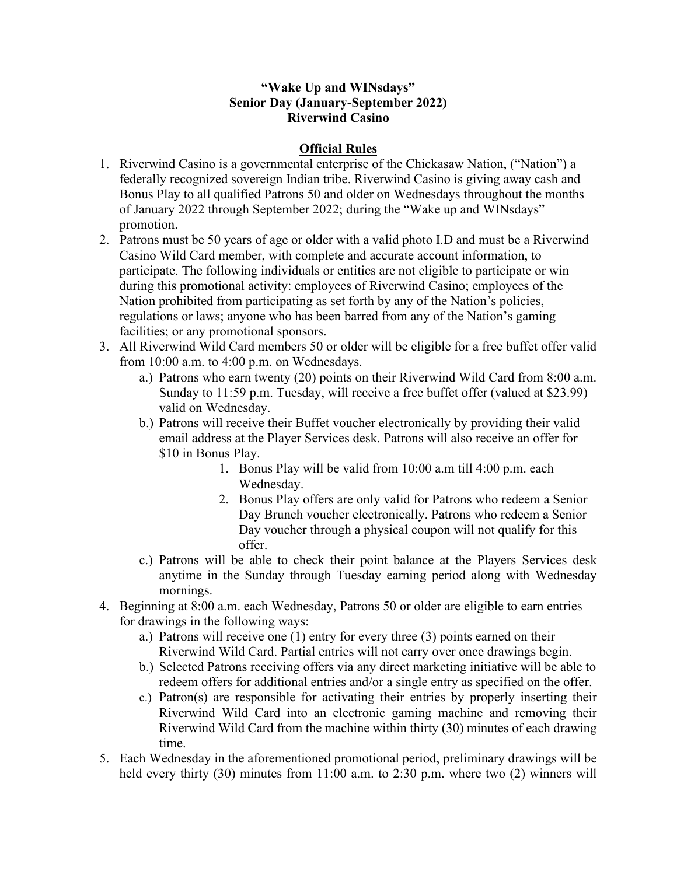## **"Wake Up and WINsdays" Senior Day (January-September 2022) Riverwind Casino**

## **Official Rules**

- 1. Riverwind Casino is a governmental enterprise of the Chickasaw Nation, ("Nation") a federally recognized sovereign Indian tribe. Riverwind Casino is giving away cash and Bonus Play to all qualified Patrons 50 and older on Wednesdays throughout the months of January 2022 through September 2022; during the "Wake up and WINsdays" promotion.
- 2. Patrons must be 50 years of age or older with a valid photo I.D and must be a Riverwind Casino Wild Card member, with complete and accurate account information, to participate. The following individuals or entities are not eligible to participate or win during this promotional activity: employees of Riverwind Casino; employees of the Nation prohibited from participating as set forth by any of the Nation's policies, regulations or laws; anyone who has been barred from any of the Nation's gaming facilities; or any promotional sponsors.
- 3. All Riverwind Wild Card members 50 or older will be eligible for a free buffet offer valid from 10:00 a.m. to 4:00 p.m. on Wednesdays.
	- a.) Patrons who earn twenty (20) points on their Riverwind Wild Card from 8:00 a.m. Sunday to 11:59 p.m. Tuesday, will receive a free buffet offer (valued at \$23.99) valid on Wednesday.
	- b.) Patrons will receive their Buffet voucher electronically by providing their valid email address at the Player Services desk. Patrons will also receive an offer for \$10 in Bonus Play.
		- 1. Bonus Play will be valid from 10:00 a.m till 4:00 p.m. each Wednesday.
		- 2. Bonus Play offers are only valid for Patrons who redeem a Senior Day Brunch voucher electronically. Patrons who redeem a Senior Day voucher through a physical coupon will not qualify for this offer.
	- c.) Patrons will be able to check their point balance at the Players Services desk anytime in the Sunday through Tuesday earning period along with Wednesday mornings.
- 4. Beginning at 8:00 a.m. each Wednesday, Patrons 50 or older are eligible to earn entries for drawings in the following ways:
	- a.) Patrons will receive one (1) entry for every three (3) points earned on their Riverwind Wild Card. Partial entries will not carry over once drawings begin.
	- b.) Selected Patrons receiving offers via any direct marketing initiative will be able to redeem offers for additional entries and/or a single entry as specified on the offer.
	- c.) Patron(s) are responsible for activating their entries by properly inserting their Riverwind Wild Card into an electronic gaming machine and removing their Riverwind Wild Card from the machine within thirty (30) minutes of each drawing time.
- 5. Each Wednesday in the aforementioned promotional period, preliminary drawings will be held every thirty (30) minutes from 11:00 a.m. to 2:30 p.m. where two (2) winners will